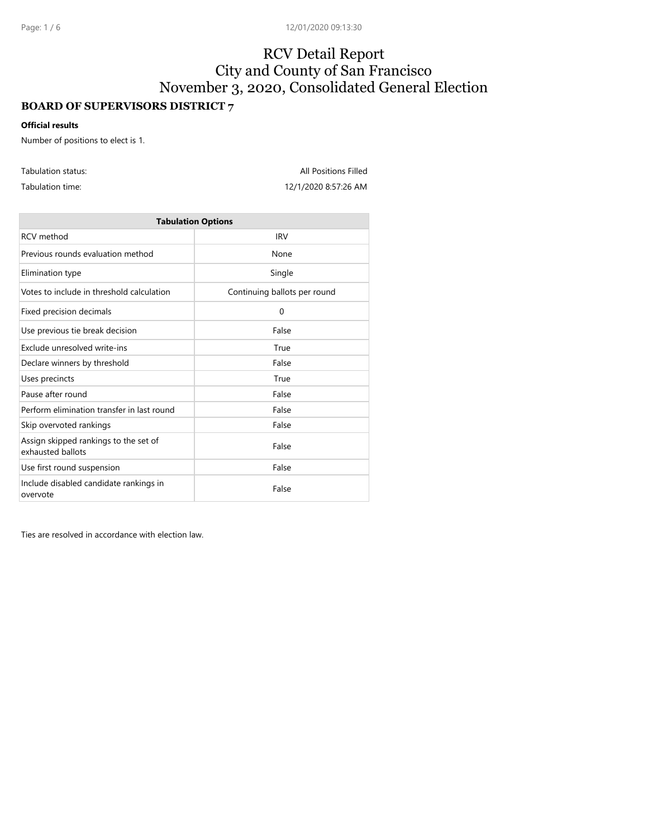# RCV Detail Report City and County of San Francisco November 3, 2020, Consolidated General Election

## **BOARD OF SUPERVISORS DISTRICT 7**

## **Official results**

Number of positions to elect is 1.

Tabulation status: Tabulation status: All Positions Filled

Tabulation time: 12/1/2020 8:57:26 AM

| <b>Tabulation Options</b>                                  |                              |  |  |
|------------------------------------------------------------|------------------------------|--|--|
| RCV method                                                 | <b>IRV</b>                   |  |  |
| Previous rounds evaluation method                          | None                         |  |  |
| Elimination type                                           | Single                       |  |  |
| Votes to include in threshold calculation                  | Continuing ballots per round |  |  |
| Fixed precision decimals                                   | 0                            |  |  |
| Use previous tie break decision                            | False                        |  |  |
| Exclude unresolved write-ins                               | True                         |  |  |
| Declare winners by threshold                               | False                        |  |  |
| Uses precincts                                             | True                         |  |  |
| Pause after round                                          | False                        |  |  |
| Perform elimination transfer in last round                 | False                        |  |  |
| Skip overvoted rankings                                    | False                        |  |  |
| Assign skipped rankings to the set of<br>exhausted ballots | False                        |  |  |
| Use first round suspension                                 | False                        |  |  |
| Include disabled candidate rankings in<br>overvote         | False                        |  |  |

Ties are resolved in accordance with election law.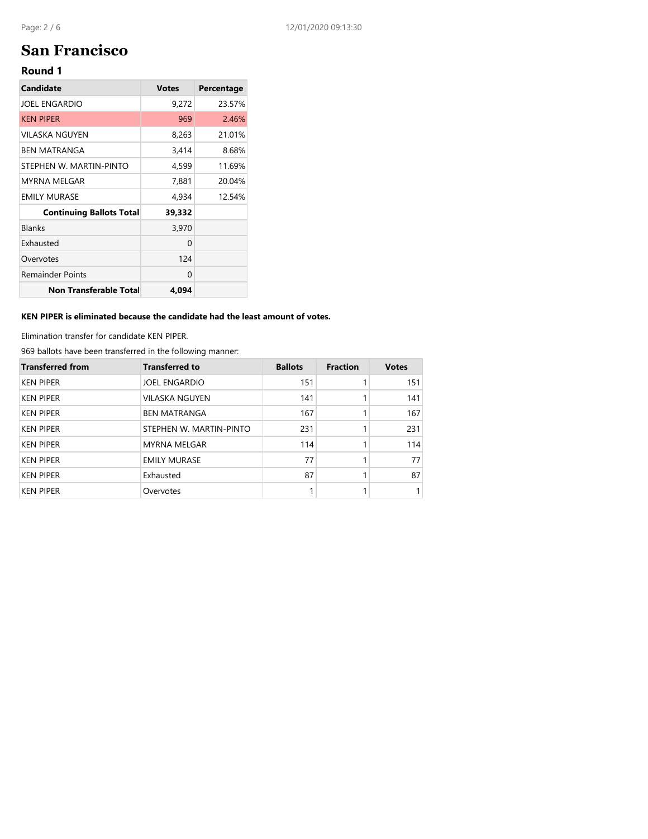## **San Francisco**

## **Round 1**

| <b>Candidate</b>                | <b>Votes</b> | Percentage |
|---------------------------------|--------------|------------|
| <b>JOEL ENGARDIO</b>            | 9,272        | 23.57%     |
| <b>KEN PIPER</b>                | 969          | 2.46%      |
| VILASKA NGUYEN                  | 8,263        | 21.01%     |
| BEN MATRANGA                    | 3.414        | 8.68%      |
| STEPHEN W. MARTIN-PINTO         | 4,599        | 11.69%     |
| MYRNA MELGAR                    | 7,881        | 20.04%     |
| EMILY MURASE                    | 4,934        | 12.54%     |
| <b>Continuing Ballots Total</b> | 39,332       |            |
| <b>Blanks</b>                   | 3,970        |            |
| Exhausted                       | 0            |            |
| Overvotes                       | 124          |            |
| <b>Remainder Points</b>         | 0            |            |
| Non Transferable Total          | 4.094        |            |

### **KEN PIPER is eliminated because the candidate had the least amount of votes.**

Elimination transfer for candidate KEN PIPER.

| <b>Transferred from</b> | <b>Transferred to</b>   | <b>Ballots</b> | <b>Fraction</b> | <b>Votes</b> |
|-------------------------|-------------------------|----------------|-----------------|--------------|
| <b>KEN PIPER</b>        | <b>JOEL ENGARDIO</b>    | 151            |                 | 151          |
| <b>KEN PIPER</b>        | <b>VILASKA NGUYEN</b>   | 141            |                 | 141          |
| <b>KEN PIPER</b>        | <b>BEN MATRANGA</b>     | 167            |                 | 167          |
| <b>KEN PIPER</b>        | STEPHEN W. MARTIN-PINTO | 231            |                 | 231          |
| <b>KEN PIPER</b>        | <b>MYRNA MELGAR</b>     | 114            |                 | 114          |
| <b>KEN PIPER</b>        | <b>EMILY MURASE</b>     | 77             |                 | 77           |
| <b>KEN PIPER</b>        | Exhausted               | 87             |                 | 87           |
| <b>KEN PIPER</b>        | Overvotes               |                |                 | $\mathbf{1}$ |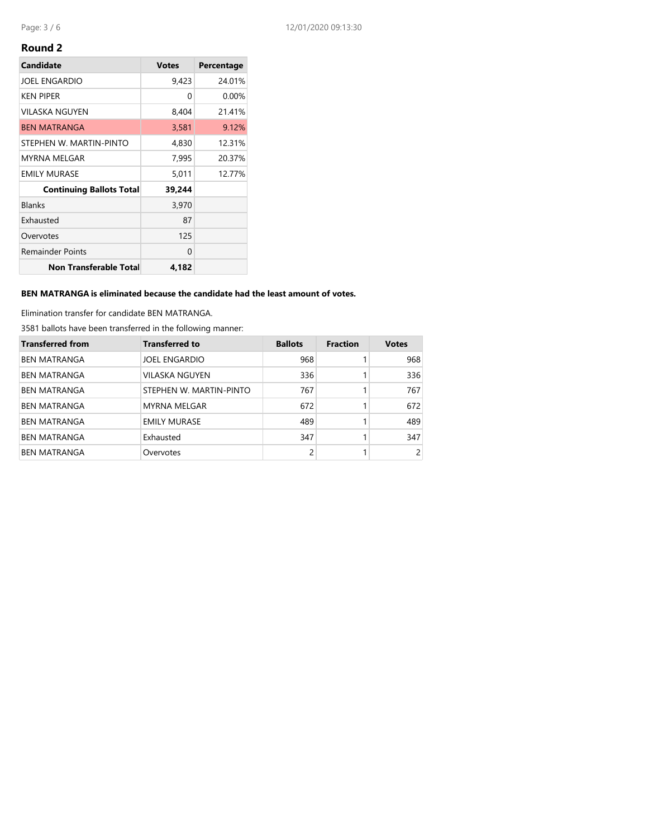| <b>Candidate</b>                | <b>Votes</b> | Percentage |
|---------------------------------|--------------|------------|
| <b>JOEL ENGARDIO</b>            | 9,423        | 24.01%     |
| <b>KFN PIPFR</b>                | 0            | $0.00\%$   |
| VILASKA NGUYEN                  | 8,404        | 21.41%     |
| <b>BEN MATRANGA</b>             | 3,581        | 9.12%      |
| STEPHEN W. MARTIN-PINTO         | 4,830        | 12.31%     |
| MYRNA MELGAR                    | 7,995        | 20.37%     |
| EMILY MURASE                    | 5,011        | 12.77%     |
| <b>Continuing Ballots Total</b> | 39,244       |            |
| <b>Blanks</b>                   | 3,970        |            |
| Exhausted                       | 87           |            |
| Overvotes                       | 125          |            |
| <b>Remainder Points</b>         | 0            |            |
| Non Transferable Total          | 4,182        |            |

### **BEN MATRANGA is eliminated because the candidate had the least amount of votes.**

Elimination transfer for candidate BEN MATRANGA.

| <b>Transferred from</b> | <b>Transferred to</b>   | <b>Ballots</b> | <b>Fraction</b> | <b>Votes</b>   |
|-------------------------|-------------------------|----------------|-----------------|----------------|
| <b>BEN MATRANGA</b>     | <b>JOEL ENGARDIO</b>    | 968            |                 | 968            |
| <b>BEN MATRANGA</b>     | <b>VILASKA NGUYEN</b>   | 336            |                 | 336            |
| <b>BEN MATRANGA</b>     | STEPHEN W. MARTIN-PINTO | 767            |                 | 767            |
| <b>BEN MATRANGA</b>     | MYRNA MELGAR            | 672            |                 | 672            |
| <b>BEN MATRANGA</b>     | <b>EMILY MURASE</b>     | 489            |                 | 489            |
| <b>BEN MATRANGA</b>     | Exhausted               | 347            |                 | 347            |
| <b>BEN MATRANGA</b>     | Overvotes               | 2              |                 | $\overline{2}$ |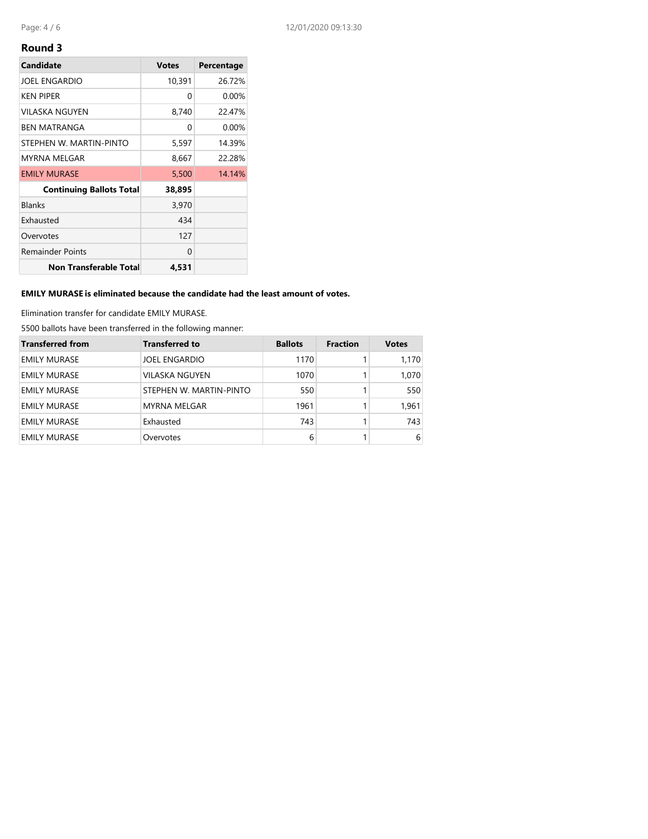| <b>Candidate</b>                | <b>Votes</b> | Percentage |
|---------------------------------|--------------|------------|
| JOEL ENGARDIO                   | 10,391       | 26.72%     |
| <b>KEN PIPER</b>                | 0            | $0.00\%$   |
| VILASKA NGUYEN                  | 8,740        | 22.47%     |
| <b>BEN MATRANGA</b>             | 0            | $0.00\%$   |
| STEPHEN W. MARTIN-PINTO         | 5,597        | 14.39%     |
| MYRNA MELGAR                    | 8,667        | 22.28%     |
| <b>EMILY MURASE</b>             | 5,500        | 14.14%     |
| <b>Continuing Ballots Total</b> | 38,895       |            |
| <b>Blanks</b>                   | 3,970        |            |
| Exhausted                       | 434          |            |
| Overvotes                       | 127          |            |
| <b>Remainder Points</b>         | $\Omega$     |            |
| Non Transferable Total          | 4.531        |            |

### **EMILY MURASE is eliminated because the candidate had the least amount of votes.**

Elimination transfer for candidate EMILY MURASE.

| <b>Transferred from</b> | <b>Transferred to</b>   | <b>Ballots</b> | <b>Fraction</b> | <b>Votes</b> |
|-------------------------|-------------------------|----------------|-----------------|--------------|
| <b>EMILY MURASE</b>     | <b>JOEL ENGARDIO</b>    | 1170           |                 | 1,170        |
| <b>EMILY MURASE</b>     | VILASKA NGUYEN          | 1070           |                 | 1,070        |
| <b>EMILY MURASE</b>     | STEPHEN W. MARTIN-PINTO | 550            |                 | 550          |
| <b>EMILY MURASE</b>     | <b>MYRNA MELGAR</b>     | 1961           |                 | 1.961        |
| <b>EMILY MURASE</b>     | Exhausted               | 743            |                 | 743          |
| <b>EMILY MURASE</b>     | Overvotes               | 6              |                 | 6            |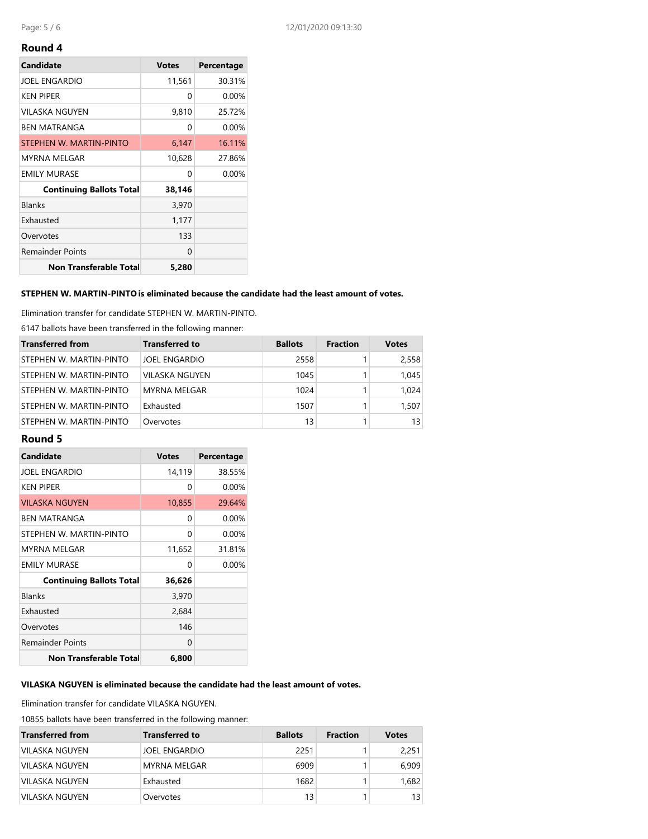| <b>Candidate</b>                | <b>Votes</b> | Percentage |
|---------------------------------|--------------|------------|
| JOEL ENGARDIO                   | 11,561       | 30.31%     |
| <b>KEN PIPER</b>                | 0            | 0.00%      |
| VILASKA NGUYEN                  | 9,810        | 25.72%     |
| <b>BEN MATRANGA</b>             | 0            | $0.00\%$   |
| STEPHEN W. MARTIN-PINTO         | 6,147        | 16.11%     |
| MYRNA MELGAR                    | 10,628       | 27.86%     |
| <b>EMILY MURASE</b>             | U            | $0.00\%$   |
| <b>Continuing Ballots Total</b> | 38,146       |            |
| <b>Blanks</b>                   | 3,970        |            |
| Exhausted                       | 1,177        |            |
| Overvotes                       | 133          |            |
| <b>Remainder Points</b>         | 0            |            |
| Non Transferable Total          | 5,280        |            |

#### **STEPHEN W. MARTIN-PINTO is eliminated because the candidate had the least amount of votes.**

Elimination transfer for candidate STEPHEN W. MARTIN-PINTO.

6147 ballots have been transferred in the following manner:

| <b>Transferred from</b> | <b>Transferred to</b> | <b>Ballots</b> | <b>Fraction</b> | <b>Votes</b> |
|-------------------------|-----------------------|----------------|-----------------|--------------|
| STEPHEN W. MARTIN-PINTO | <b>JOEL ENGARDIO</b>  | 2558           |                 | 2.558        |
| STEPHEN W. MARTIN-PINTO | <b>VILASKA NGUYEN</b> | 1045           |                 | 1.045        |
| STEPHEN W. MARTIN-PINTO | <b>MYRNA MELGAR</b>   | 1024           |                 | 1.024        |
| STEPHEN W. MARTIN-PINTO | Exhausted             | 1507           |                 | 1,507        |
| STEPHEN W. MARTIN-PINTO | Overvotes             | 13             |                 | 13           |

## **Round 5**

| <b>Candidate</b>                | <b>Votes</b> | Percentage |
|---------------------------------|--------------|------------|
| JOEL ENGARDIO                   | 14,119       | 38.55%     |
| <b>KEN PIPER</b>                | 0            | $0.00\%$   |
| VILASKA NGUYEN                  | 10,855       | 29.64%     |
| <b>BEN MATRANGA</b>             | 0            | 0.00%      |
| STEPHEN W. MARTIN-PINTO         | 0            | $0.00\%$   |
| MYRNA MELGAR                    | 11,652       | 31.81%     |
| <b>EMILY MURASE</b>             | 0            | $0.00\%$   |
| <b>Continuing Ballots Total</b> | 36,626       |            |
| <b>Blanks</b>                   | 3,970        |            |
| Exhausted                       | 2,684        |            |
| Overvotes                       | 146          |            |
| <b>Remainder Points</b>         | 0            |            |
| Non Transferable Total          | 6,800        |            |

#### **VILASKA NGUYEN is eliminated because the candidate had the least amount of votes.**

Elimination transfer for candidate VILASKA NGUYEN.

| <b>Transferred from</b> | <b>Transferred to</b> | <b>Ballots</b> | <b>Fraction</b> | <b>Votes</b> |
|-------------------------|-----------------------|----------------|-----------------|--------------|
| VILASKA NGUYEN          | <b>JOEL ENGARDIO</b>  | 2251           |                 | 2,251        |
| VILASKA NGUYEN          | MYRNA MELGAR          | 6909           |                 | 6.909        |
| <b>VILASKA NGUYEN</b>   | Exhausted             | 1682           |                 | 1.682        |
| VILASKA NGUYEN          | Overvotes             | 13             |                 | 13           |